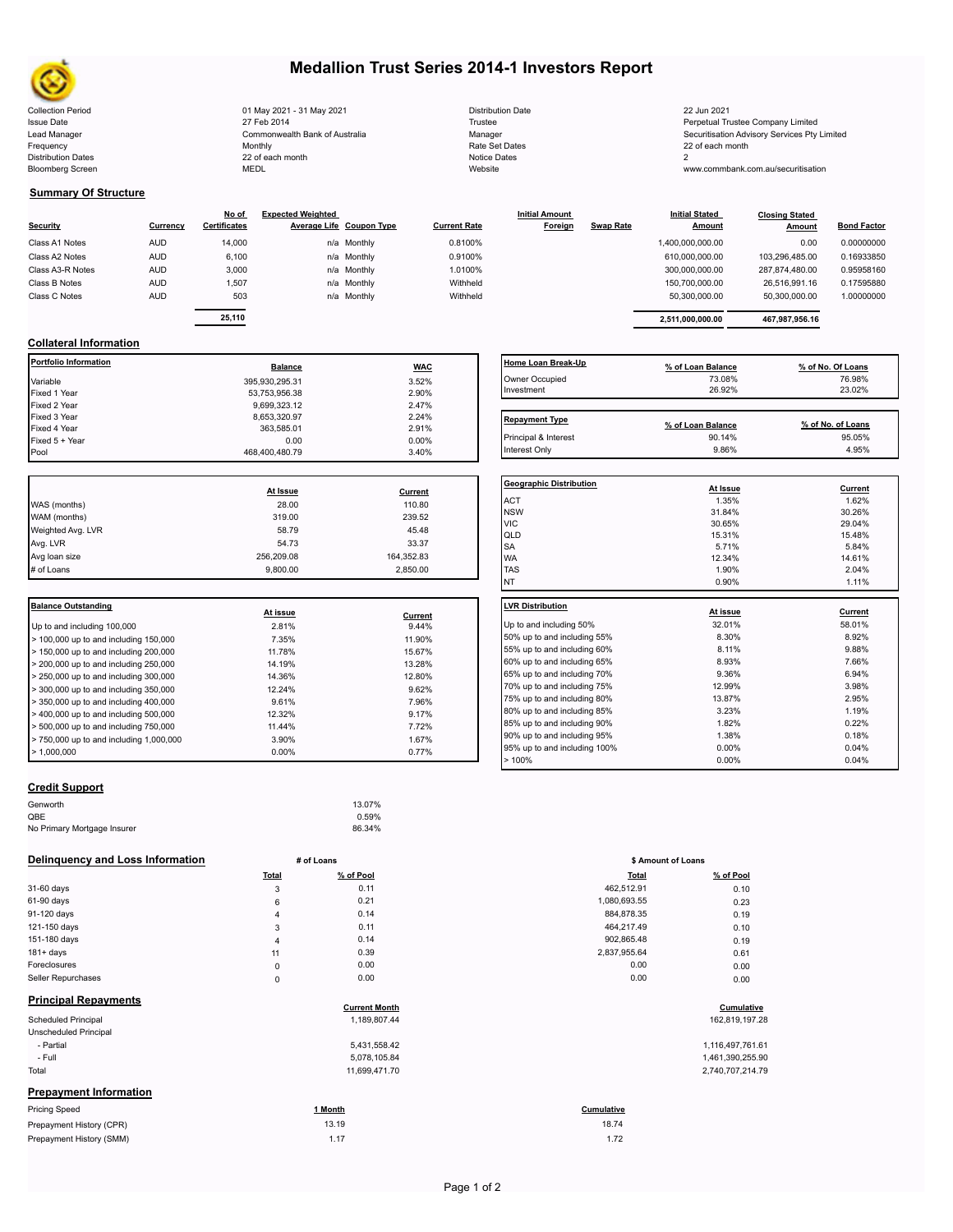

Bloomberg Screen

## **Medallion Trust Series 2014-1 Investors Report**

Collection Period 01 May 2021 - 31 May 2021 Distribution Date 22 Jun 2021 Issue Date **Trustee Company Limited** 27 Feb 2014 27 Feb 2014 **Trustee Trustee Company Limited** Perpetual Trustee Company Limited Lead Manager **Manager** Securitisation Advisory Services Pty Limited Commonwealth Bank of Australia Manager Manager Securitisation Advisory Services Pty Limited Frequency 22 of each month Monthly Monthly Rate Set Dates Rate Set Dates 22 of each month Distribution Dates **Notice 2** and the control of the 22 of each month **Notice Dates** Notice Dates 2 27 Feb 2014 Commonwealth Bank of Australia Monthly 22 of each month

| <b>Distribution Date</b> |
|--------------------------|
| Trustee                  |
| Manager                  |
| Rate Set Dates           |
| Notice Dates             |
| Website                  |

www.commbank.com.au/securitisation

### **Summary Of Structure**

|                  |            | No of               | <b>Expected Weighted</b> |                     | <b>Initial Amount</b> |                  | <b>Initial Stated</b> | <b>Closing Stated</b> |                    |
|------------------|------------|---------------------|--------------------------|---------------------|-----------------------|------------------|-----------------------|-----------------------|--------------------|
| Security         | Currency   | <b>Certificates</b> | Average Life Coupon Type | <b>Current Rate</b> | Foreign               | <b>Swap Rate</b> | <b>Amount</b>         | Amount                | <b>Bond Factor</b> |
| Class A1 Notes   | <b>AUD</b> | 14,000              | n/a Monthly              | 0.8100%             |                       |                  | 1,400,000,000.00      | 0.00                  | 0.00000000         |
| Class A2 Notes   | <b>AUD</b> | 6,100               | n/a Monthly              | 0.9100%             |                       |                  | 610,000,000.00        | 103.296.485.00        | 0.16933850         |
| Class A3-R Notes | <b>AUD</b> | 3,000               | n/a Monthly              | 1.0100%             |                       |                  | 300,000,000.00        | 287.874.480.00        | 0.95958160         |
| Class B Notes    | <b>AUD</b> | 1,507               | n/a Monthly              | Withheld            |                       |                  | 150.700.000.00        | 26.516.991.16         | 0.17595880         |
| Class C Notes    | <b>AUD</b> | 503                 | n/a Monthly              | Withheld            |                       |                  | 50.300.000.00         | 50,300,000.00         | 1.00000000         |
|                  |            | -- - - -            |                          |                     |                       |                  |                       |                       |                    |

| <u>No of</u>    | <b>Expected Weighted</b> |                          |                     | <b>Initial Amount</b> |                  | <b>Initial Stated</b> | <b>Closing Stated</b> |                    |  |
|-----------------|--------------------------|--------------------------|---------------------|-----------------------|------------------|-----------------------|-----------------------|--------------------|--|
| <b>ificates</b> |                          | Average Life Coupon Type | <b>Current Rate</b> | Foreign               | <b>Swap Rate</b> | Amount                | Amount                | <b>Bond Factor</b> |  |
| 14.000          |                          | n/a Monthly              | 0.8100%             |                       |                  | 1.400.000.000.00      | 0.00                  | 0.00000000         |  |
| 6,100           |                          | n/a Monthly              | 0.9100%             |                       |                  | 610.000.000.00        | 103.296.485.00        | 0.16933850         |  |
| 3.000           |                          | n/a Monthly              | 1.0100%             |                       |                  | 300.000.000.00        | 287.874.480.00        | 0.95958160         |  |
| 1.507           |                          | n/a Monthly              | Withheld            |                       |                  | 150.700.000.00        | 26.516.991.16         | 0.17595880         |  |
| 503             |                          | n/a Monthly              | Withheld            |                       |                  | 50.300.000.00         | 50.300.000.00         | 1.00000000         |  |
|                 |                          |                          |                     |                       |                  |                       |                       |                    |  |
| 25,110          |                          |                          |                     |                       |                  | 2.511.000.000.00      | 467.987.956.16        |                    |  |

## **Collateral Information**

| <b>Portfolio Information</b> | <b>Balance</b> | <b>WAC</b> | Home Loan Break-Up    | % of Loan Balance | % of No. Of Loans |
|------------------------------|----------------|------------|-----------------------|-------------------|-------------------|
| Variable                     | 395,930,295.31 | 3.52%      | Owner Occupied        | 73.08%            | 76.98%            |
| Fixed 1 Year                 | 53,753,956.38  | 2.90%      | Investment            | 26.92%            | 23.02%            |
| Fixed 2 Year                 | 9,699,323.12   | 2.47%      |                       |                   |                   |
| Fixed 3 Year                 | 8,653,320.97   | 2.24%      | <b>Repayment Type</b> |                   |                   |
| Fixed 4 Year                 | 363.585.01     | 2.91%      |                       | % of Loan Balance | % of No. of Loans |
| Fixed 5 + Year               | 0.00           | $0.00\%$   | Principal & Interest  | 90.14%            | 95.05%            |
| Pool                         | 468.400.480.79 | 3.40%      | Interest Only         | 9.86%             | 4.95%             |

|                   |            |            | Geo              |
|-------------------|------------|------------|------------------|
|                   | At Issue   | Current    |                  |
| WAS (months)      | 28.00      | 110.80     | AC <sup>-</sup>  |
| WAM (months)      | 319.00     | 239.52     | <b>NS</b><br>VIC |
| Weighted Avg. LVR | 58.79      | 45.48      | QLI              |
| Avg. LVR          | 54.73      | 33.37      | <b>SA</b>        |
| Avg loan size     | 256,209.08 | 164,352.83 | <b>WA</b>        |
| # of Loans        | 9.800.00   | 2.850.00   | <b>TAS</b>       |
|                   |            |            |                  |

| <b>Balance Outstanding</b>                   | At issue | Current | LVR Distribution    |
|----------------------------------------------|----------|---------|---------------------|
| Up to and including 100,000                  | 2.81%    | 9.44%   | Up to and including |
| $>$ 100,000 up to and including 150,000      | 7.35%    | 11.90%  | 50% up to and incl  |
| $>$ 150,000 up to and including 200,000      | 11.78%   | 15.67%  | 55% up to and incl  |
| $>$ 200,000 up to and including 250,000      | 14.19%   | 13.28%  | 60% up to and incl  |
| $\geq$ 250,000 up to and including 300,000   | 14.36%   | 12.80%  | 65% up to and incl  |
| $\geq$ 300,000 up to and including 350,000   | 12.24%   | 9.62%   | 70% up to and incl  |
| > 350,000 up to and including 400,000        | 9.61%    | 7.96%   | 75% up to and incl  |
| $>$ 400,000 up to and including 500,000      | 12.32%   | 9.17%   | 80% up to and incl  |
| $>$ 500,000 up to and including 750,000      | 11.44%   | 7.72%   | 85% up to and incl  |
| $\geq 750.000$ up to and including 1.000.000 | 3.90%    | 1.67%   | 90% up to and incl  |
| $\blacktriangleright$ 1.000.000              | $0.00\%$ | 0.77%   | 95% up to and incl  |
|                                              |          |         |                     |

## **Home Loan Break-Up % of Loan Balance % of No. Of Loans** Owner Occupied 73.08% 76.98% 76.98% 76.98% 76.98% 76.98% 76.98% 76.98% 76.98% 76.98% 76.98% 76.98% 76.98% 76.98% 76.98% 76.98% 76.98% 76.98% 76.98% 76.98% 76.98% 76.98% 76.98% 76.98% 76.98% 76.98% 76.98% 76.98% 76.98% 76.9 Investment 26.92% 23.02% Repayment Type **Repayment Type % of Loan Balance % of No. of Loans**

| <b>Geographic Distribution</b> | At Issue | Current        |
|--------------------------------|----------|----------------|
| <b>ACT</b>                     | 1.35%    | 1.62%          |
| <b>NSW</b>                     | 31.84%   | 30.26%         |
| <b>VIC</b>                     | 30.65%   | 29.04%         |
| QLD                            | 15.31%   | 15.48%         |
| <b>SA</b>                      | 5.71%    | 5.84%          |
| <b>WA</b>                      | 12.34%   | 14.61%         |
| <b>TAS</b>                     | 1.90%    | 2.04%          |
| <b>NT</b>                      | 0.90%    | 1.11%          |
| <b>LVR Distribution</b>        |          |                |
|                                | At issue | <b>Current</b> |
| Up to and including 50%        | 32.01%   | 58.01%         |
| 50% up to and including 55%    | 8.30%    | 8.92%          |
| 55% up to and including 60%    | 8.11%    | 9.88%          |
| 60% up to and including 65%    | 8.93%    | 7.66%          |
| 65% up to and including 70%    | 9.36%    | 6.94%          |
| 70% up to and including 75%    | 12.99%   | 3.98%          |
| 75% up to and including 80%    | 13.87%   | 2.95%          |
| 80% up to and including 85%    | 3.23%    | 1.19%          |
| 85% up to and including 90%    | 1.82%    | 0.22%          |
| 90% up to and including 95%    | 1.38%    | 0.18%          |
| 95% up to and including 100%   | 0.00%    | 0.04%          |
| >100%                          | 0.00%    | 0.04%          |

## **Credit Support**

| Genworth                    | 13.07% |  |
|-----------------------------|--------|--|
| QBE                         | 0.59%  |  |
| No Primary Mortgage Insurer | 86.34% |  |
|                             |        |  |

#### **Delinquency and Loss Information # of Loans**

|                               | Total          | % of Pool            | <b>Total</b> | % of Pool        |  |
|-------------------------------|----------------|----------------------|--------------|------------------|--|
| 31-60 days                    | 3              | 0.11                 | 462,512.91   | 0.10             |  |
| 61-90 days                    | 6              | 0.21                 | 1,080,693.55 | 0.23             |  |
| 91-120 days                   | 4              | 0.14                 | 884,878.35   | 0.19             |  |
| 121-150 days                  | 3              | 0.11                 | 464,217.49   | 0.10             |  |
| 151-180 days                  | $\overline{4}$ | 0.14                 | 902,865.48   | 0.19             |  |
| 181+ days                     | 11             | 0.39                 | 2,837,955.64 | 0.61             |  |
| Foreclosures                  | $\mathsf 0$    | 0.00                 | 0.00         | 0.00             |  |
| Seller Repurchases            | $\mathbf 0$    | 0.00                 | 0.00         | 0.00             |  |
| <b>Principal Repayments</b>   |                | <b>Current Month</b> |              | Cumulative       |  |
| Scheduled Principal           |                | 1,189,807.44         |              | 162,819,197.28   |  |
| Unscheduled Principal         |                |                      |              |                  |  |
| - Partial                     |                | 5,431,558.42         |              | 1,116,497,761.61 |  |
| - Full                        |                | 5,078,105.84         |              | 1,461,390,255.90 |  |
| Total                         |                | 11,699,471.70        |              | 2,740,707,214.79 |  |
| <b>Prepayment Information</b> |                |                      |              |                  |  |
| <b>Pricing Speed</b>          |                | 1 Month              | Cumulative   |                  |  |
| Prepayment History (CPR)      |                | 13.19                | 18.74        |                  |  |
| Prepayment History (SMM)      |                | 1.17                 | 1.72         |                  |  |

|                | # of Loans                           |              | \$ Amount of Loans           |  |
|----------------|--------------------------------------|--------------|------------------------------|--|
| Total          | % of Pool                            | <b>Total</b> | % of Pool                    |  |
| 3              | 0.11                                 | 462,512.91   | 0.10                         |  |
| 6              | 0.21                                 | 1,080,693.55 | 0.23                         |  |
| 4              | 0.14                                 | 884,878.35   | 0.19                         |  |
| 3              | 0.11                                 | 464,217.49   | 0.10                         |  |
| $\overline{4}$ | 0.14                                 | 902,865.48   | 0.19                         |  |
| 11             | 0.39                                 | 2,837,955.64 | 0.61                         |  |
| 0              | 0.00                                 | 0.00         | 0.00                         |  |
| 0              | 0.00                                 | 0.00         | 0.00                         |  |
|                | <b>Current Month</b><br>1,189,807.44 |              | Cumulative<br>162,819,197.28 |  |
|                |                                      |              |                              |  |

| 1,116,497,761.6  |
|------------------|
| 1,461,390,255.90 |
| 2,740,707,214.79 |

# 18.74